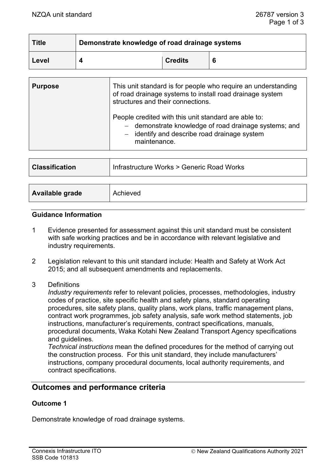| <b>Title</b> | Demonstrate knowledge of road drainage systems |                |   |
|--------------|------------------------------------------------|----------------|---|
| Level        |                                                | <b>Credits</b> | 6 |

| <b>Purpose</b> | This unit standard is for people who require an understanding<br>of road drainage systems to install road drainage system<br>structures and their connections.                |  |
|----------------|-------------------------------------------------------------------------------------------------------------------------------------------------------------------------------|--|
|                | People credited with this unit standard are able to:<br>- demonstrate knowledge of road drainage systems; and<br>- identify and describe road drainage system<br>maintenance. |  |

| <b>Classification</b>  | Infrastructure Works > Generic Road Works |  |
|------------------------|-------------------------------------------|--|
|                        |                                           |  |
| <b>Available grade</b> | Achieved                                  |  |

#### **Guidance Information**

- 1 Evidence presented for assessment against this unit standard must be consistent with safe working practices and be in accordance with relevant legislative and industry requirements.
- 2 Legislation relevant to this unit standard include: Health and Safety at Work Act 2015; and all subsequent amendments and replacements.
- 3 Definitions

*Industry requirements* refer to relevant policies, processes, methodologies, industry codes of practice, site specific health and safety plans, standard operating procedures, site safety plans, quality plans, work plans, traffic management plans, contract work programmes, job safety analysis, safe work method statements, job instructions, manufacturer's requirements, contract specifications, manuals, procedural documents, Waka Kotahi New Zealand Transport Agency specifications and guidelines.

*Technical instructions* mean the defined procedures for the method of carrying out the construction process. For this unit standard, they include manufacturers' instructions, company procedural documents, local authority requirements, and contract specifications.

# **Outcomes and performance criteria**

### **Outcome 1**

Demonstrate knowledge of road drainage systems.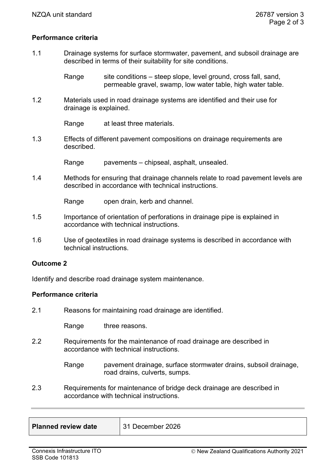#### **Performance criteria**

1.1 Drainage systems for surface stormwater, pavement, and subsoil drainage are described in terms of their suitability for site conditions.

> Range site conditions – steep slope, level ground, cross fall, sand, permeable gravel, swamp, low water table, high water table.

1.2 Materials used in road drainage systems are identified and their use for drainage is explained.

Range at least three materials.

1.3 Effects of different pavement compositions on drainage requirements are described.

Range pavements – chipseal, asphalt, unsealed.

1.4 Methods for ensuring that drainage channels relate to road pavement levels are described in accordance with technical instructions.

Range open drain, kerb and channel.

- 1.5 Importance of orientation of perforations in drainage pipe is explained in accordance with technical instructions.
- 1.6 Use of geotextiles in road drainage systems is described in accordance with technical instructions.

#### **Outcome 2**

Identify and describe road drainage system maintenance.

#### **Performance criteria**

2.1 Reasons for maintaining road drainage are identified.

Range three reasons.

2.2 Requirements for the maintenance of road drainage are described in accordance with technical instructions.

> Range pavement drainage, surface stormwater drains, subsoil drainage, road drains, culverts, sumps.

2.3 Requirements for maintenance of bridge deck drainage are described in accordance with technical instructions.

| <b>Planned review date</b> | $\parallel$ 31 December 2026 |
|----------------------------|------------------------------|
|                            |                              |